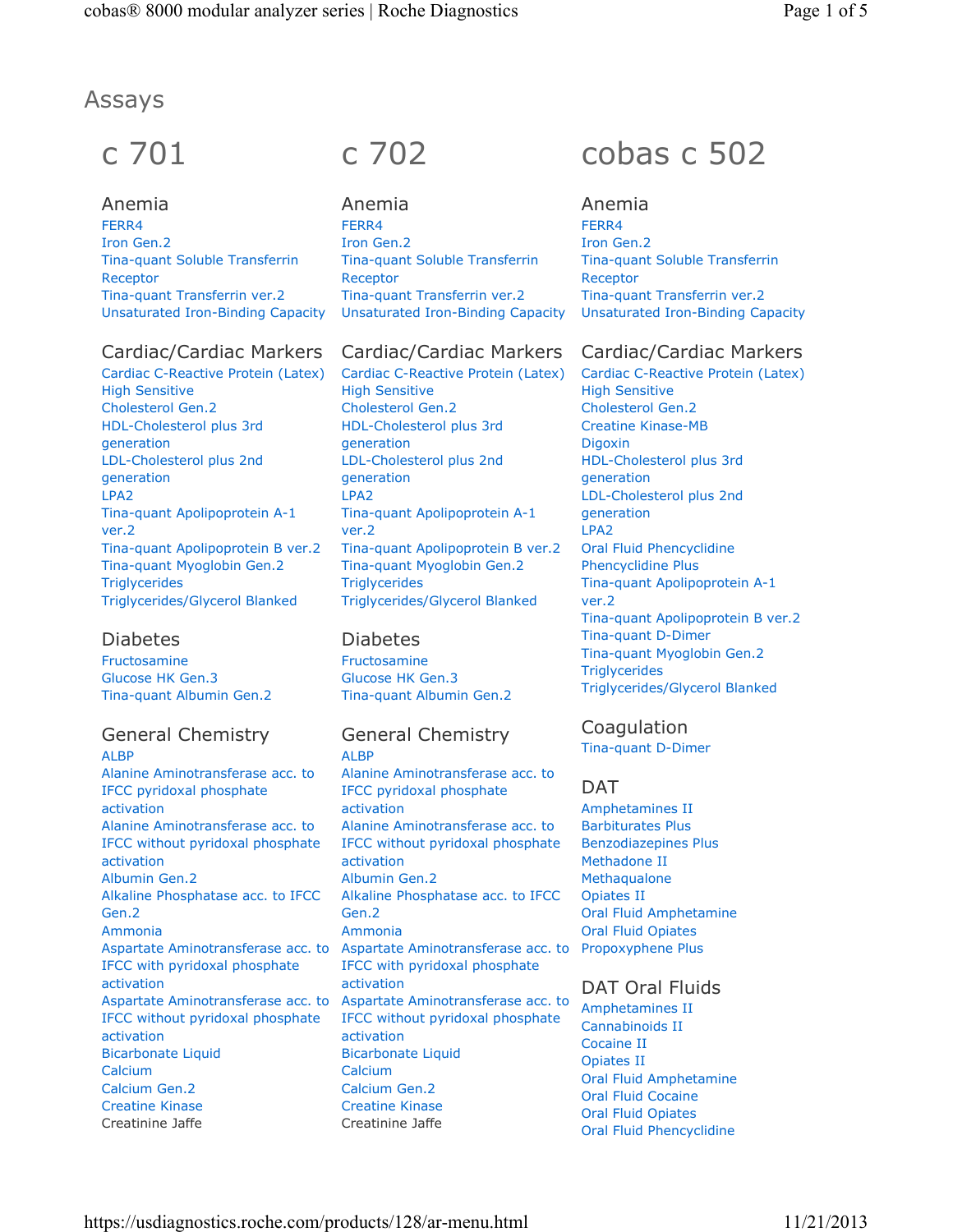# Assays

# c 701

Anemia FERR4 Iron Gen.2 Tina-quant Soluble Transferrin Receptor Tina-quant Transferrin ver.2 Unsaturated Iron-Binding Capacity

# Cardiac/Cardiac Markers

Cardiac C-Reactive Protein (Latex) High Sensitive Cholesterol Gen.2 HDL-Cholesterol plus 3rd generation LDL-Cholesterol plus 2nd generation LPA2 Tina-quant Apolipoprotein A-1 ver.2 Tina-quant Apolipoprotein B ver.2 Tina-quant Myoglobin Gen.2 **Triglycerides** Triglycerides/Glycerol Blanked

# Diabetes

Fructosamine Glucose HK Gen.3 Tina-quant Albumin Gen.2

# General Chemistry ALBP

Alanine Aminotransferase acc. to IFCC pyridoxal phosphate activation Alanine Aminotransferase acc. to IFCC without pyridoxal phosphate activation Albumin Gen.2 Alkaline Phosphatase acc. to IFCC Gen.2 Ammonia Aspartate Aminotransferase acc. to IFCC with pyridoxal phosphate activation Aspartate Aminotransferase acc. to IFCC without pyridoxal phosphate activation Bicarbonate Liquid Calcium Calcium Gen.2 Creatine Kinase Creatinine Jaffe

# c 702

Anemia FERR4 Iron Gen.2 Tina-quant Soluble Transferrin Receptor Tina-quant Transferrin ver.2 Unsaturated Iron-Binding Capacity

# Cardiac/Cardiac Markers

Cardiac C-Reactive Protein (Latex) High Sensitive Cholesterol Gen.2 HDL-Cholesterol plus 3rd generation LDL-Cholesterol plus 2nd generation LPA2 Tina-quant Apolipoprotein A-1 ver.2 Tina-quant Apolipoprotein B ver.2 Tina-quant Myoglobin Gen.2 **Triglycerides** Triglycerides/Glycerol Blanked

# Diabetes

Fructosamine Glucose HK Gen.3 Tina-quant Albumin Gen.2

# General Chemistry

ALBP Alanine Aminotransferase acc. to IFCC pyridoxal phosphate activation Alanine Aminotransferase acc. to IFCC without pyridoxal phosphate activation Albumin Gen.2 Alkaline Phosphatase acc. to IFCC Gen.2 Ammonia Aspartate Aminotransferase acc. to IFCC with pyridoxal phosphate activation Aspartate Aminotransferase acc. to IFCC without pyridoxal phosphate activation Bicarbonate Liquid Calcium Calcium Gen.2 Creatine Kinase Creatinine Jaffe

# cobas c 502

# Anemia

FERR4 Iron Gen.2 Tina-quant Soluble Transferrin Receptor Tina-quant Transferrin ver.2 Unsaturated Iron-Binding Capacity

# Cardiac/Cardiac Markers

Cardiac C-Reactive Protein (Latex) High Sensitive Cholesterol Gen.2 Creatine Kinase-MB Digoxin HDL-Cholesterol plus 3rd generation LDL-Cholesterol plus 2nd generation LPA2 Oral Fluid Phencyclidine Phencyclidine Plus Tina-quant Apolipoprotein A-1 ver.2 Tina-quant Apolipoprotein B ver.2 Tina-quant D-Dimer Tina-quant Myoglobin Gen.2 **Triglycerides** Triglycerides/Glycerol Blanked

# Coagulation

Tina-quant D-Dimer

# DAT

Amphetamines II Barbiturates Plus Benzodiazepines Plus Methadone II **Methaqualone** Opiates II Oral Fluid Amphetamine Oral Fluid Opiates Propoxyphene Plus

# DAT Oral Fluids

Amphetamines II Cannabinoids II Cocaine II Opiates II Oral Fluid Amphetamine Oral Fluid Cocaine Oral Fluid Opiates Oral Fluid Phencyclidine

https://usdiagnostics.roche.com/products/128/ar-menu.html 11/21/2013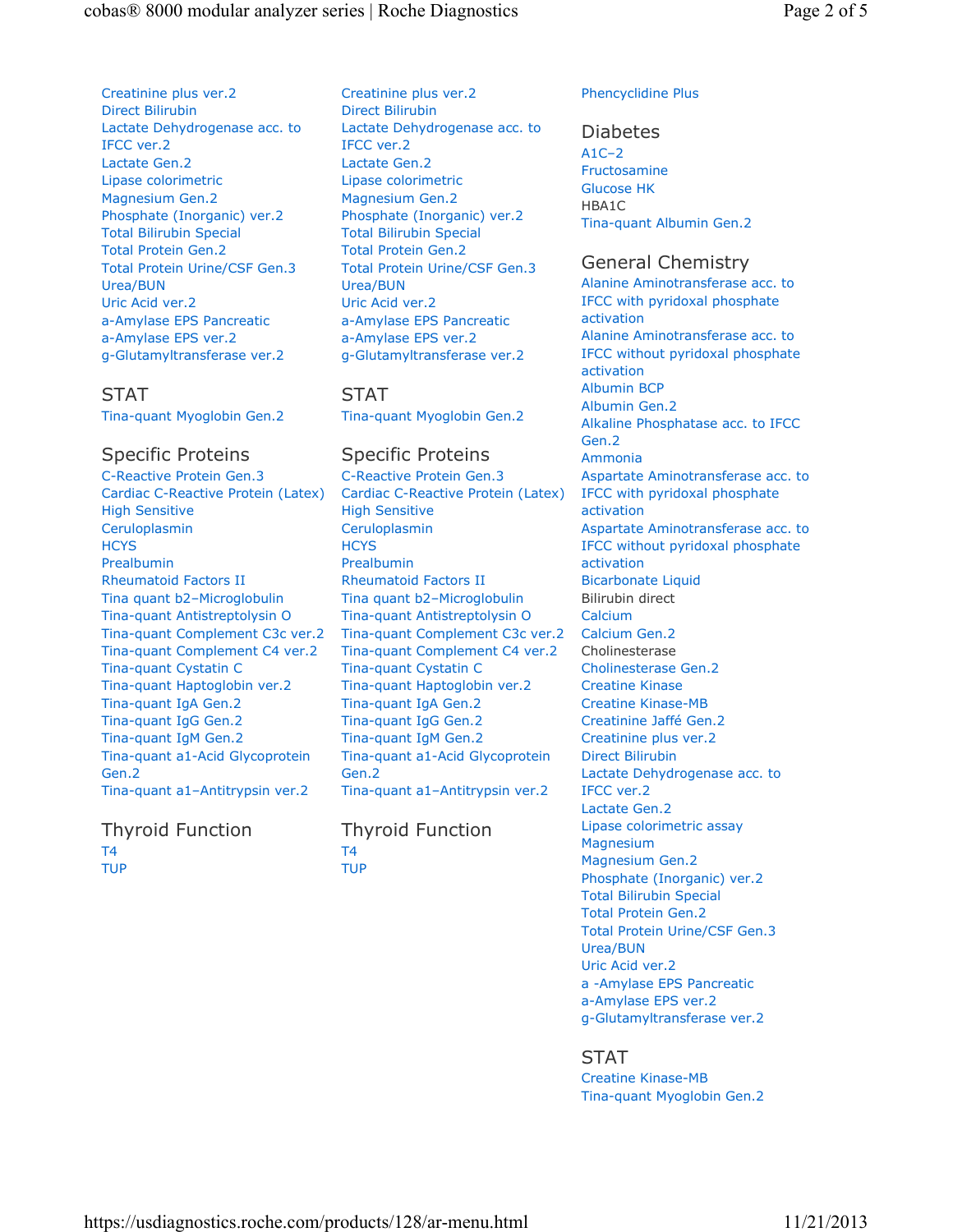Creatinine plus ver.2 Direct Bilirubin Lactate Dehydrogenase acc. to IFCC ver.2 Lactate Gen.2 Lipase colorimetric Magnesium Gen.2 Phosphate (Inorganic) ver.2 Total Bilirubin Special Total Protein Gen.2 Total Protein Urine/CSF Gen.3 Urea/BUN Uric Acid ver.2 a-Amylase EPS Pancreatic a-Amylase EPS ver.2 g-Glutamyltransferase ver.2

## STAT

Tina-quant Myoglobin Gen.2

## Specific Proteins

C-Reactive Protein Gen.3 Cardiac C-Reactive Protein (Latex) High Sensitive Ceruloplasmin **HCYS** Prealbumin Rheumatoid Factors II Tina quant b2–Microglobulin Tina-quant Antistreptolysin O Tina-quant Complement C3c ver.2 Tina-quant Complement C4 ver.2 Tina-quant Cystatin C Tina-quant Haptoglobin ver.2 Tina-quant IgA Gen.2 Tina-quant IgG Gen.2 Tina-quant IgM Gen.2 Tina-quant a1-Acid Glycoprotein Gen.2 Tina-quant a1–Antitrypsin ver.2

## Thyroid Function T4 TUP

Creatinine plus ver.2 Direct Bilirubin Lactate Dehydrogenase acc. to IFCC ver.2 Lactate Gen.2 Lipase colorimetric Magnesium Gen.2 Phosphate (Inorganic) ver.2 Total Bilirubin Special Total Protein Gen.2 Total Protein Urine/CSF Gen.3 Urea/BUN Uric Acid ver.2 a-Amylase EPS Pancreatic a-Amylase EPS ver.2 g-Glutamyltransferase ver.2

## STAT

Tina-quant Myoglobin Gen.2

## Specific Proteins

C-Reactive Protein Gen.3 Cardiac C-Reactive Protein (Latex) High Sensitive Ceruloplasmin **HCYS** Prealbumin Rheumatoid Factors II Tina quant b2–Microglobulin Tina-quant Antistreptolysin O Tina-quant Complement C3c ver.2 Tina-quant Complement C4 ver.2 Tina-quant Cystatin C Tina-quant Haptoglobin ver.2 Tina-quant IgA Gen.2 Tina-quant IgG Gen.2 Tina-quant IgM Gen.2 Tina-quant a1-Acid Glycoprotein Gen.2 Tina-quant a1–Antitrypsin ver.2

#### Thyroid Function T4 TUP

#### Phencyclidine Plus

#### Diabetes

 $A1C-2$ Fructosamine Glucose HK HBA1C Tina-quant Albumin Gen.2

## General Chemistry

Alanine Aminotransferase acc. to IFCC with pyridoxal phosphate activation Alanine Aminotransferase acc. to IFCC without pyridoxal phosphate activation Albumin BCP Albumin Gen.2 Alkaline Phosphatase acc. to IFCC Gen.2 Ammonia Aspartate Aminotransferase acc. to IFCC with pyridoxal phosphate activation Aspartate Aminotransferase acc. to IFCC without pyridoxal phosphate activation Bicarbonate Liquid Bilirubin direct Calcium Calcium Gen.2 Cholinesterase Cholinesterase Gen.2 Creatine Kinase Creatine Kinase-MB Creatinine Jaffé Gen.2 Creatinine plus ver.2 Direct Bilirubin Lactate Dehydrogenase acc. to IFCC ver.2 Lactate Gen.2 Lipase colorimetric assay **Magnesium** Magnesium Gen.2 Phosphate (Inorganic) ver.2 Total Bilirubin Special Total Protein Gen.2 Total Protein Urine/CSF Gen.3 Urea/BUN Uric Acid ver.2 a -Amylase EPS Pancreatic a-Amylase EPS ver.2 g-Glutamyltransferase ver.2

## STAT

Creatine Kinase-MB Tina-quant Myoglobin Gen.2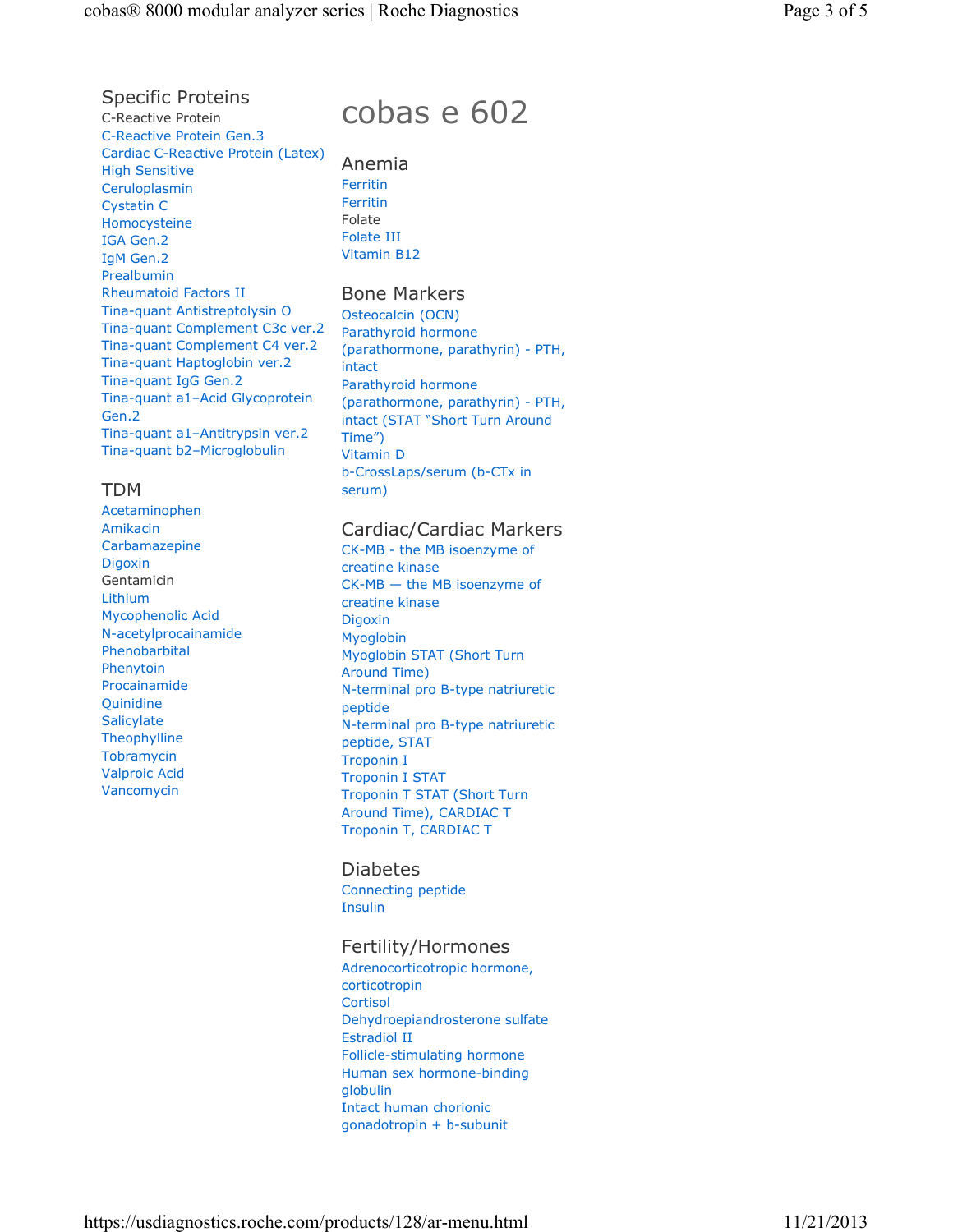Specific Proteins C-Reactive Protein C-Reactive Protein Gen.3 Cardiac C-Reactive Protein (Latex) High Sensitive Ceruloplasmin Cystatin C Homocysteine IGA Gen.2 IgM Gen.2 Prealbumin Rheumatoid Factors II Tina-quant Antistreptolysin O Tina-quant Complement C3c ver.2 Tina-quant Complement C4 ver.2 Tina-quant Haptoglobin ver.2 Tina-quant IgG Gen.2 Tina-quant a1–Acid Glycoprotein Gen.2 Tina-quant a1–Antitrypsin ver.2 Tina-quant b2–Microglobulin

## TDM

Acetaminophen Amikacin Carbamazepine Digoxin Gentamicin Lithium Mycophenolic Acid N-acetylprocainamide Phenobarbital Phenytoin Procainamide Quinidine **Salicylate Theophylline Tobramycin** Valproic Acid Vancomycin

# cobas e 602

Anemia Ferritin Ferritin Folate Folate III Vitamin B12

## Bone Markers

Osteocalcin (OCN) Parathyroid hormone (parathormone, parathyrin) - PTH, intact Parathyroid hormone (parathormone, parathyrin) - PTH, intact (STAT "Short Turn Around Time") Vitamin D b-CrossLaps/serum (b-CTx in serum)

## Cardiac/Cardiac Markers

CK-MB - the MB isoenzyme of creatine kinase CK-MB — the MB isoenzyme of creatine kinase Digoxin Myoglobin Myoglobin STAT (Short Turn Around Time) N-terminal pro B-type natriuretic peptide N-terminal pro B-type natriuretic peptide, STAT Troponin I Troponin I STAT Troponin T STAT (Short Turn Around Time), CARDIAC T Troponin T, CARDIAC T

## Diabetes

Connecting peptide Insulin

## Fertility/Hormones

Adrenocorticotropic hormone, corticotropin **Cortisol** Dehydroepiandrosterone sulfate Estradiol II Follicle-stimulating hormone Human sex hormone-binding globulin Intact human chorionic gonadotropin + b-subunit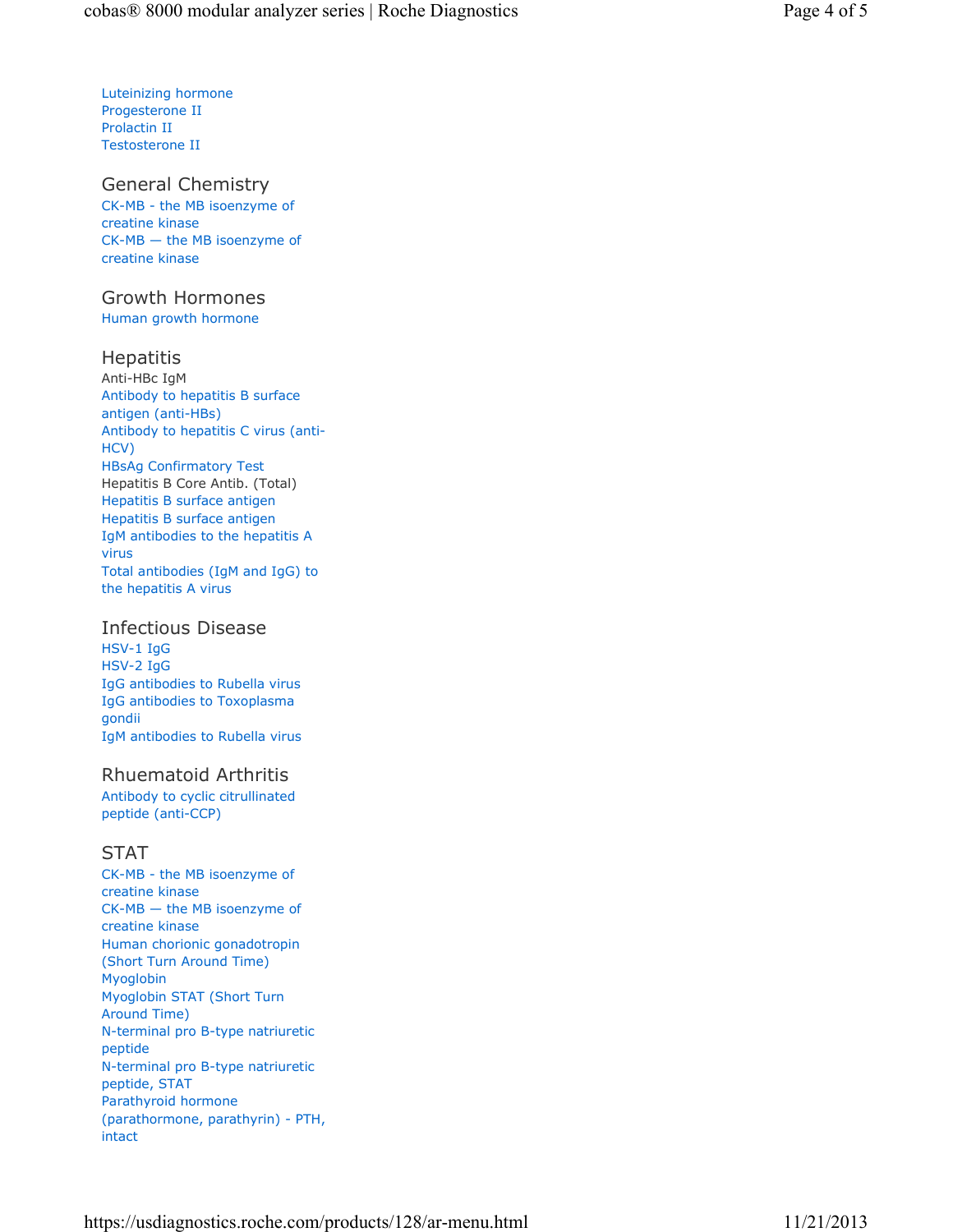Luteinizing hormone Progesterone II Prolactin II Testosterone II

General Chemistry CK-MB - the MB isoenzyme of creatine kinase CK-MB — the MB isoenzyme of creatine kinase

## Growth Hormones

Human growth hormone

## Hepatitis

Anti-HBc IgM Antibody to hepatitis B surface antigen (anti-HBs) Antibody to hepatitis C virus (anti-HCV) HBsAg Confirmatory Test Hepatitis B Core Antib. (Total) Hepatitis B surface antigen Hepatitis B surface antigen IgM antibodies to the hepatitis A virus Total antibodies (IgM and IgG) to the hepatitis A virus

## Infectious Disease

HSV-1 IgG HSV-2 IgG IgG antibodies to Rubella virus IgG antibodies to Toxoplasma gondii IgM antibodies to Rubella virus

## Rhuematoid Arthritis

Antibody to cyclic citrullinated peptide (anti-CCP)

## STAT

CK-MB - the MB isoenzyme of creatine kinase CK-MB — the MB isoenzyme of creatine kinase Human chorionic gonadotropin (Short Turn Around Time) Myoglobin Myoglobin STAT (Short Turn Around Time) N-terminal pro B-type natriuretic peptide N-terminal pro B-type natriuretic peptide, STAT Parathyroid hormone (parathormone, parathyrin) - PTH, intact